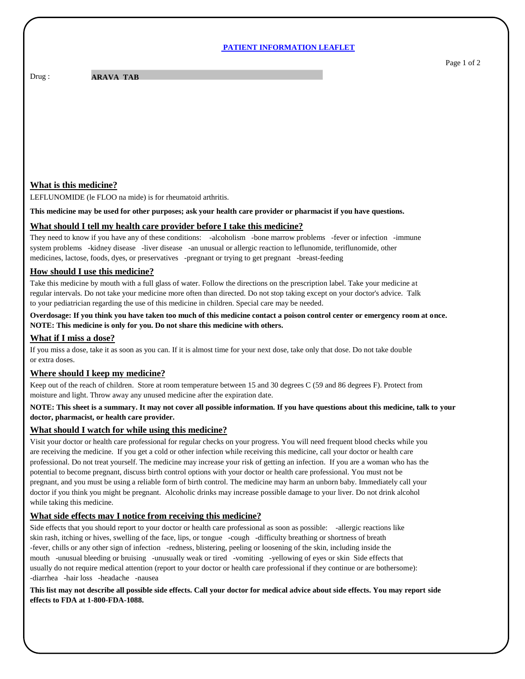#### **PATIENT INFORMATION LEAFLET**

Drug :

**ARAVA TAB** 

# **What is this medicine?**

LEFLUNOMIDE (le FLOO na mide) is for rheumatoid arthritis.

**This medicine may be used for other purposes; ask your health care provider or pharmacist if you have questions.**

## **What should I tell my health care provider before I take this medicine?**

They need to know if you have any of these conditions: -alcoholism -bone marrow problems -fever or infection -immune system problems -kidney disease -liver disease -an unusual or allergic reaction to leflunomide, teriflunomide, other medicines, lactose, foods, dyes, or preservatives -pregnant or trying to get pregnant -breast-feeding

## **How should I use this medicine?**

Take this medicine by mouth with a full glass of water. Follow the directions on the prescription label. Take your medicine at regular intervals. Do not take your medicine more often than directed. Do not stop taking except on your doctor's advice. Talk to your pediatrician regarding the use of this medicine in children. Special care may be needed.

# **Overdosage: If you think you have taken too much of this medicine contact a poison control center or emergency room at once. NOTE: This medicine is only for you. Do not share this medicine with others.**

## **What if I miss a dose?**

If you miss a dose, take it as soon as you can. If it is almost time for your next dose, take only that dose. Do not take double or extra doses.

#### **Where should I keep my medicine?**

Keep out of the reach of children. Store at room temperature between 15 and 30 degrees C (59 and 86 degrees F). Protect from moisture and light. Throw away any unused medicine after the expiration date.

## **NOTE: This sheet is a summary. It may not cover all possible information. If you have questions about this medicine, talk to your doctor, pharmacist, or health care provider.**

#### **What should I watch for while using this medicine?**

Visit your doctor or health care professional for regular checks on your progress. You will need frequent blood checks while you are receiving the medicine. If you get a cold or other infection while receiving this medicine, call your doctor or health care professional. Do not treat yourself. The medicine may increase your risk of getting an infection. If you are a woman who has the potential to become pregnant, discuss birth control options with your doctor or health care professional. You must not be pregnant, and you must be using a reliable form of birth control. The medicine may harm an unborn baby. Immediately call your doctor if you think you might be pregnant. Alcoholic drinks may increase possible damage to your liver. Do not drink alcohol while taking this medicine.

# **What side effects may I notice from receiving this medicine?**

Side effects that you should report to your doctor or health care professional as soon as possible: -allergic reactions like skin rash, itching or hives, swelling of the face, lips, or tongue -cough -difficulty breathing or shortness of breath -fever, chills or any other sign of infection -redness, blistering, peeling or loosening of the skin, including inside the mouth -unusual bleeding or bruising -unusually weak or tired -vomiting -yellowing of eyes or skin Side effects that usually do not require medical attention (report to your doctor or health care professional if they continue or are bothersome): -diarrhea -hair loss -headache -nausea

#### **This list may not describe all possible side effects. Call your doctor for medical advice about side effects. You may report side effects to FDA at 1-800-FDA-1088.**

Page 1 of 2